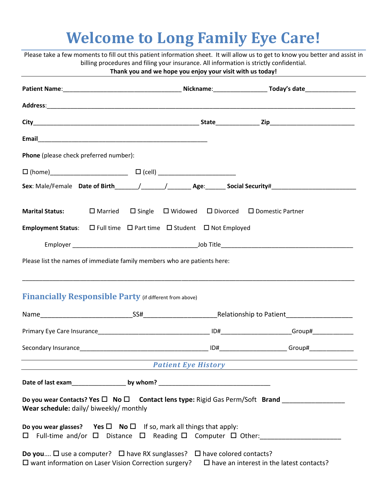# **Welcome to Long Family Eye Care!**

|                                                                                                |  | Thank you and we hope you enjoy your visit with us today! |                                                                                                     |  |
|------------------------------------------------------------------------------------------------|--|-----------------------------------------------------------|-----------------------------------------------------------------------------------------------------|--|
|                                                                                                |  |                                                           |                                                                                                     |  |
|                                                                                                |  |                                                           |                                                                                                     |  |
|                                                                                                |  |                                                           |                                                                                                     |  |
|                                                                                                |  |                                                           |                                                                                                     |  |
| Phone (please check preferred number):                                                         |  |                                                           |                                                                                                     |  |
|                                                                                                |  |                                                           |                                                                                                     |  |
|                                                                                                |  |                                                           |                                                                                                     |  |
| <b>Marital Status:</b>                                                                         |  |                                                           | $\Box$ Married $\Box$ Single $\Box$ Widowed $\Box$ Divorced $\Box$ Domestic Partner                 |  |
| <b>Employment Status:</b> $\Box$ Full time $\Box$ Part time $\Box$ Student $\Box$ Not Employed |  |                                                           |                                                                                                     |  |
|                                                                                                |  |                                                           |                                                                                                     |  |
| <b>Financially Responsible Party (if different from above)</b>                                 |  |                                                           |                                                                                                     |  |
|                                                                                                |  |                                                           |                                                                                                     |  |
|                                                                                                |  |                                                           |                                                                                                     |  |
|                                                                                                |  |                                                           |                                                                                                     |  |
| <u> 1989 - Jan Barnett, fransk politik (d. 1989)</u>                                           |  |                                                           | Patient Eye History <b>Example 2014</b>                                                             |  |
|                                                                                                |  |                                                           |                                                                                                     |  |
|                                                                                                |  |                                                           | Do you wear Contacts? Yes $\square$ No $\square$ Contact lens type: Rigid Gas Perm/Soft Brand       |  |
| Wear schedule: daily/ biweekly/ monthly                                                        |  |                                                           |                                                                                                     |  |
| Do you wear glasses? Yes $\square$ No $\square$ If so, mark all things that apply:             |  |                                                           | $\square$ Full-time and/or $\square$ Distance $\square$ Reading $\square$ Computer $\square$ Other: |  |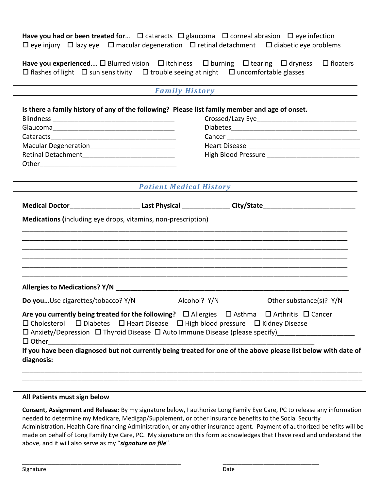**Have you had or been treated for...**  $\Box$  cataracts  $\Box$  glaucoma  $\Box$  corneal abrasion  $\Box$  eye infection  $\Box$  eye injury  $\Box$  lazy eye  $\Box$  macular degeneration  $\Box$  retinal detachment  $\Box$  diabetic eye problems

**Have you experienced....**  $\Box$  Blurred vision  $\Box$  itchiness  $\Box$  burning  $\Box$  tearing  $\Box$  dryness  $\Box$  floaters  $\Box$  flashes of light  $\Box$  sun sensitivity  $\Box$  trouble seeing at night  $\Box$  uncomfortable glasses

| <b>Family History</b> |  |  |  |
|-----------------------|--|--|--|
|                       |  |  |  |

|                                                 |                                                               | Is there a family history of any of the following? Please list family member and age of onset.                                                                                                                               |  |  |  |
|-------------------------------------------------|---------------------------------------------------------------|------------------------------------------------------------------------------------------------------------------------------------------------------------------------------------------------------------------------------|--|--|--|
|                                                 |                                                               |                                                                                                                                                                                                                              |  |  |  |
|                                                 |                                                               |                                                                                                                                                                                                                              |  |  |  |
| Macular Degeneration___________________________ |                                                               |                                                                                                                                                                                                                              |  |  |  |
|                                                 |                                                               |                                                                                                                                                                                                                              |  |  |  |
|                                                 |                                                               |                                                                                                                                                                                                                              |  |  |  |
|                                                 | <b>Patient Medical History</b>                                |                                                                                                                                                                                                                              |  |  |  |
|                                                 |                                                               | Medical Doctor___________________________Last Physical _______________City/State______________________________                                                                                                               |  |  |  |
|                                                 | Medications (including eye drops, vitamins, non-prescription) |                                                                                                                                                                                                                              |  |  |  |
|                                                 |                                                               |                                                                                                                                                                                                                              |  |  |  |
|                                                 |                                                               |                                                                                                                                                                                                                              |  |  |  |
|                                                 |                                                               |                                                                                                                                                                                                                              |  |  |  |
|                                                 |                                                               |                                                                                                                                                                                                                              |  |  |  |
|                                                 |                                                               |                                                                                                                                                                                                                              |  |  |  |
|                                                 |                                                               |                                                                                                                                                                                                                              |  |  |  |
|                                                 |                                                               |                                                                                                                                                                                                                              |  |  |  |
|                                                 |                                                               |                                                                                                                                                                                                                              |  |  |  |
| Do youUse cigarettes/tobacco? Y/N               | Alcohol? Y/N                                                  | Other substance(s)? Y/N                                                                                                                                                                                                      |  |  |  |
|                                                 |                                                               |                                                                                                                                                                                                                              |  |  |  |
|                                                 |                                                               | Are you currently being treated for the following? $\Box$ Allergies $\Box$ Asthma $\Box$ Arthritis $\Box$ Cancer<br>$\Box$ Cholesterol $\Box$ Diabetes $\Box$ Heart Disease $\Box$ High blood pressure $\Box$ Kidney Disease |  |  |  |
|                                                 |                                                               |                                                                                                                                                                                                                              |  |  |  |
|                                                 |                                                               | □ Anxiety/Depression □ Thyroid Disease □ Auto Immune Disease (please specify)______________________                                                                                                                          |  |  |  |
|                                                 |                                                               |                                                                                                                                                                                                                              |  |  |  |
| diagnosis:                                      |                                                               | If you have been diagnosed but not currently being treated for one of the above please list below with date of                                                                                                               |  |  |  |

# **All Patients must sign below**

**Consent, Assignment and Release:** By my signature below, I authorize Long Family Eye Care, PC to release any information needed to determine my Medicare, Medigap/Supplement, or other insurance benefits to the Social Security Administration, Health Care financing Administration, or any other insurance agent. Payment of authorized benefits will be made on behalf of Long Family Eye Care, PC. My signature on this form acknowledges that I have read and understand the above, and it will also serve as my "*signature on file*".

\_\_\_\_\_\_\_\_\_\_\_\_\_\_\_\_\_\_\_\_\_\_\_\_\_\_\_\_\_\_\_\_\_\_\_\_\_\_\_\_\_\_\_ \_\_\_\_\_\_\_\_\_\_\_\_\_\_\_\_\_\_\_\_\_\_\_\_\_\_

\_\_\_\_\_\_\_\_\_\_\_\_\_\_\_\_\_\_\_\_\_\_\_\_\_\_\_\_\_\_\_\_\_\_\_\_\_\_\_\_\_\_\_\_\_\_\_\_\_\_\_\_\_\_\_\_\_\_\_\_\_\_\_\_\_\_\_\_\_\_\_\_\_\_\_\_\_\_\_\_\_\_\_\_\_\_\_\_\_\_\_\_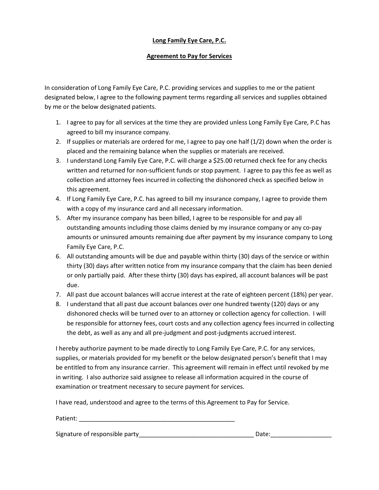# **Long Family Eye Care, P.C.**

# **Agreement to Pay for Services**

In consideration of Long Family Eye Care, P.C. providing services and supplies to me or the patient designated below, I agree to the following payment terms regarding all services and supplies obtained by me or the below designated patients.

- 1. I agree to pay for all services at the time they are provided unless Long Family Eye Care, P.C has agreed to bill my insurance company.
- 2. If supplies or materials are ordered for me, I agree to pay one half (1/2) down when the order is placed and the remaining balance when the supplies or materials are received.
- 3. I understand Long Family Eye Care, P.C. will charge a \$25.00 returned check fee for any checks written and returned for non-sufficient funds or stop payment. I agree to pay this fee as well as collection and attorney fees incurred in collecting the dishonored check as specified below in this agreement.
- 4. If Long Family Eye Care, P.C. has agreed to bill my insurance company, I agree to provide them with a copy of my insurance card and all necessary information.
- 5. After my insurance company has been billed, I agree to be responsible for and pay all outstanding amounts including those claims denied by my insurance company or any co-pay amounts or uninsured amounts remaining due after payment by my insurance company to Long Family Eye Care, P.C.
- 6. All outstanding amounts will be due and payable within thirty (30) days of the service or within thirty (30) days after written notice from my insurance company that the claim has been denied or only partially paid. After these thirty (30) days has expired, all account balances will be past due.
- 7. All past due account balances will accrue interest at the rate of eighteen percent (18%) per year.
- 8. I understand that all past due account balances over one hundred twenty (120) days or any dishonored checks will be turned over to an attorney or collection agency for collection. I will be responsible for attorney fees, court costs and any collection agency fees incurred in collecting the debt, as well as any and all pre-judgment and post-judgments accrued interest.

I hereby authorize payment to be made directly to Long Family Eye Care, P.C. for any services, supplies, or materials provided for my benefit or the below designated person's benefit that I may be entitled to from any insurance carrier. This agreement will remain in effect until revoked by me in writing. I also authorize said assignee to release all information acquired in the course of examination or treatment necessary to secure payment for services.

I have read, understood and agree to the terms of this Agreement to Pay for Service.

| Patient <sup>.</sup> |  |  |
|----------------------|--|--|
|                      |  |  |

| Signature of responsible party | Date: |
|--------------------------------|-------|
|                                |       |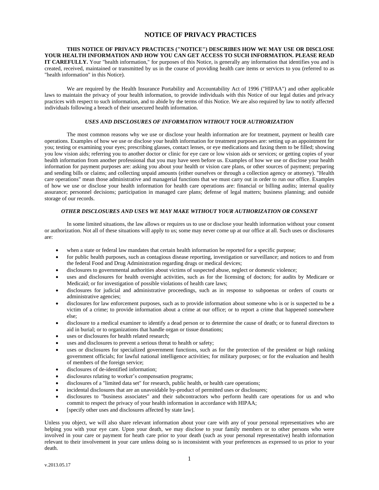# **NOTICE OF PRIVACY PRACTICES**

**THIS NOTICE OF PRIVACY PRACTICES ("NOTICE") DESCRIBES HOW WE MAY USE OR DISCLOSE YOUR HEALTH INFORMATION AND HOW YOU CAN GET ACCESS TO SUCH INFORMATION. PLEASE READ IT CAREFULLY.** Your "health information," for purposes of this Notice, is generally any information that identifies you and is created, received, maintained or transmitted by us in the course of providing health care items or services to you (referred to as "health information" in this Notice).

We are required by the Health Insurance Portability and Accountability Act of 1996 ("HIPAA") and other applicable laws to maintain the privacy of your health information, to provide individuals with this Notice of our legal duties and privacy practices with respect to such information, and to abide by the terms of this Notice. We are also required by law to notify affected individuals following a breach of their unsecured health information.

### *USES AND DISCLOSURES OF INFORMATION WITHOUT YOUR AUTHORIZATION*

The most common reasons why we use or disclose your health information are for treatment, payment or health care operations. Examples of how we use or disclose your health information for treatment purposes are: setting up an appointment for you; testing or examining your eyes; prescribing glasses, contact lenses, or eye medications and faxing them to be filled; showing you low vision aids; referring you to another doctor or clinic for eye care or low vision aids or services; or getting copies of your health information from another professional that you may have seen before us. Examples of how we use or disclose your health information for payment purposes are: asking you about your health or vision care plans, or other sources of payment; preparing and sending bills or claims; and collecting unpaid amounts (either ourselves or through a collection agency or attorney). "Health care operations" mean those administrative and managerial functions that we must carry out in order to run our office. Examples of how we use or disclose your health information for health care operations are: financial or billing audits; internal quality assurance; personnel decisions; participation in managed care plans; defense of legal matters; business planning; and outside storage of our records.

## *OTHER DISCLOSURES AND USES WE MAY MAKE WITHOUT YOUR AUTHORIZATION OR CONSENT*

In some limited situations, the law allows or requires us to use or disclose your health information without your consent or authorization. Not all of these situations will apply to us; some may never come up at our office at all. Such uses or disclosures are:

- when a state or federal law mandates that certain health information be reported for a specific purpose;
- for public health purposes, such as contagious disease reporting, investigation or surveillance; and notices to and from the federal Food and Drug Administration regarding drugs or medical devices;
- disclosures to governmental authorities about victims of suspected abuse, neglect or domestic violence;
- uses and disclosures for health oversight activities, such as for the licensing of doctors; for audits by Medicare or Medicaid; or for investigation of possible violations of health care laws;
- disclosures for judicial and administrative proceedings, such as in response to subpoenas or orders of courts or administrative agencies;
- disclosures for law enforcement purposes, such as to provide information about someone who is or is suspected to be a victim of a crime; to provide information about a crime at our office; or to report a crime that happened somewhere else;
- disclosure to a medical examiner to identify a dead person or to determine the cause of death; or to funeral directors to aid in burial; or to organizations that handle organ or tissue donations;
- uses or disclosures for health related research;
- uses and disclosures to prevent a serious threat to health or safety;
- uses or disclosures for specialized government functions, such as for the protection of the president or high ranking government officials; for lawful national intelligence activities; for military purposes; or for the evaluation and health of members of the foreign service;
- disclosures of de-identified information;
- disclosures relating to worker's compensation programs;
- disclosures of a "limited data set" for research, public health, or health care operations;
- incidental disclosures that are an unavoidable by-product of permitted uses or disclosures;
- disclosures to "business associates" and their subcontractors who perform health care operations for us and who commit to respect the privacy of your health information in accordance with HIPAA;
- [specify other uses and disclosures affected by state law].

Unless you object, we will also share relevant information about your care with any of your personal representatives who are helping you with your eye care. Upon your death, we may disclose to your family members or to other persons who were involved in your care or payment for heath care prior to your death (such as your personal representative) health information relevant to their involvement in your care unless doing so is inconsistent with your preferences as expressed to us prior to your death.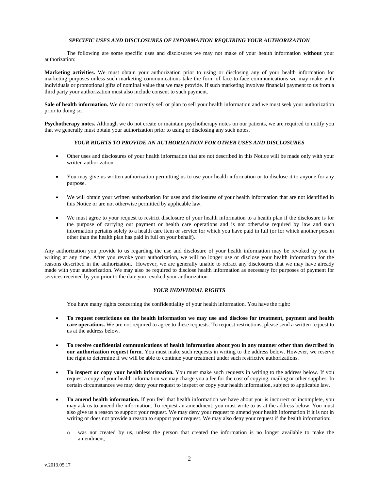# *SPECIFIC USES AND DISCLOSURES OF INFORMATION REQUIRING YOUR AUTHORIZATION*

The following are some specific uses and disclosures we may not make of your health information **without** your authorization:

**Marketing activities.** We must obtain your authorization prior to using or disclosing any of your health information for marketing purposes unless such marketing communications take the form of face-to-face communications we may make with individuals or promotional gifts of nominal value that we may provide. If such marketing involves financial payment to us from a third party your authorization must also include consent to such payment.

**Sale of health information.** We do not currently sell or plan to sell your health information and we must seek your authorization prior to doing so.

**Psychotherapy notes.** Although we do not create or maintain psychotherapy notes on our patients, we are required to notify you that we generally must obtain your authorization prior to using or disclosing any such notes.

## *YOUR RIGHTS TO PROVIDE AN AUTHORIZATION FOR OTHER USES AND DISCLOSURES*

- Other uses and disclosures of your health information that are not described in this Notice will be made only with your written authorization.
- You may give us written authorization permitting us to use your health information or to disclose it to anyone for any purpose.
- We will obtain your written authorization for uses and disclosures of your health information that are not identified in this Notice or are not otherwise permitted by applicable law.
- We must agree to your request to restrict disclosure of your health information to a health plan if the disclosure is for the purpose of carrying out payment or health care operations and is not otherwise required by law and such information pertains solely to a health care item or service for which you have paid in full (or for which another person other than the health plan has paid in full on your behalf).

Any authorization you provide to us regarding the use and disclosure of your health information may be revoked by you in writing at any time. After you revoke your authorization, we will no longer use or disclose your health information for the reasons described in the authorization. However, we are generally unable to retract any disclosures that we may have already made with your authorization. We may also be required to disclose health information as necessary for purposes of payment for services received by you prior to the date you revoked your authorization.

## *YOUR INDIVIDUAL RIGHTS*

You have many rights concerning the confidentiality of your health information. You have the right:

- **To request restrictions on the health information we may use and disclose for treatment, payment and health care operations.** We are not required to agree to these requests. To request restrictions, please send a written request to us at the address below.
- **To receive confidential communications of health information about you in any manner other than described in our authorization request form**. You must make such requests in writing to the address below. However, we reserve the right to determine if we will be able to continue your treatment under such restrictive authorizations.
- **To inspect or copy your health information.** You must make such requests in writing to the address below. If you request a copy of your health information we may charge you a fee for the cost of copying, mailing or other supplies. In certain circumstances we may deny your request to inspect or copy your health information, subject to applicable law.
- **To amend health information.** If you feel that health information we have about you is incorrect or incomplete, you may ask us to amend the information. To request an amendment, you must write to us at the address below. You must also give us a reason to support your request. We may deny your request to amend your health information if it is not in writing or does not provide a reason to support your request. We may also deny your request if the health information:
	- o was not created by us, unless the person that created the information is no longer available to make the amendment,